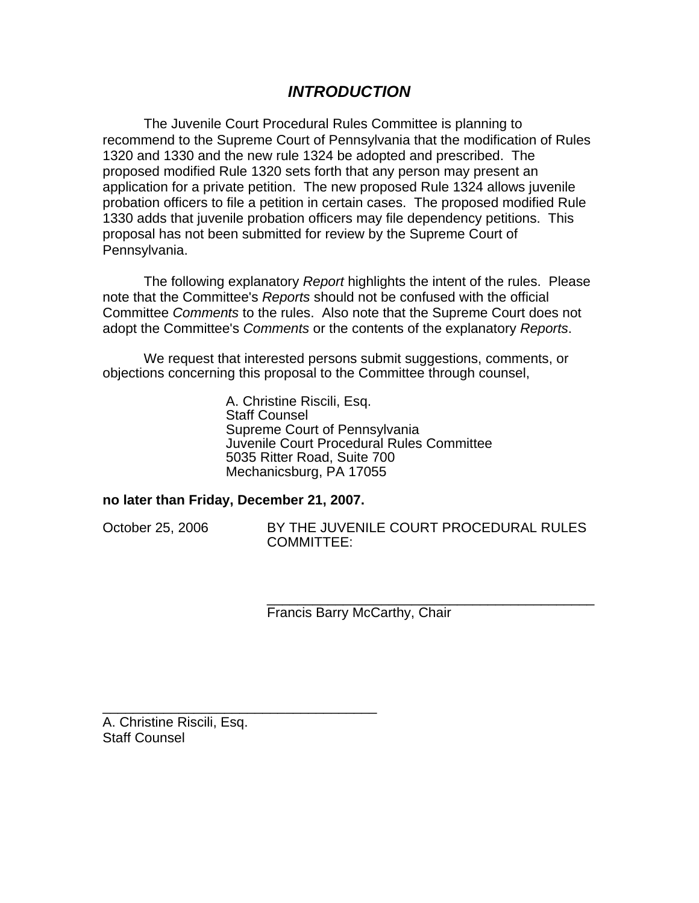# *INTRODUCTION*

The Juvenile Court Procedural Rules Committee is planning to recommend to the Supreme Court of Pennsylvania that the modification of Rules 1320 and 1330 and the new rule 1324 be adopted and prescribed. The proposed modified Rule 1320 sets forth that any person may present an application for a private petition. The new proposed Rule 1324 allows juvenile probation officers to file a petition in certain cases. The proposed modified Rule 1330 adds that juvenile probation officers may file dependency petitions. This proposal has not been submitted for review by the Supreme Court of Pennsylvania.

The following explanatory *Report* highlights the intent of the rules. Please note that the Committee's *Reports* should not be confused with the official Committee *Comments* to the rules. Also note that the Supreme Court does not adopt the Committee's *Comments* or the contents of the explanatory *Reports*.

We request that interested persons submit suggestions, comments, or objections concerning this proposal to the Committee through counsel,

> A. Christine Riscili, Esq. Staff Counsel Supreme Court of Pennsylvania Juvenile Court Procedural Rules Committee 5035 Ritter Road, Suite 700 Mechanicsburg, PA 17055

#### **no later than Friday, December 21, 2007.**

\_\_\_\_\_\_\_\_\_\_\_\_\_\_\_\_\_\_\_\_\_\_\_\_\_\_\_\_\_\_\_\_\_\_\_\_

October 25, 2006 BY THE JUVENILE COURT PROCEDURAL RULES COMMITTEE:

> \_\_\_\_\_\_\_\_\_\_\_\_\_\_\_\_\_\_\_\_\_\_\_\_\_\_\_\_\_\_\_\_\_\_\_\_\_\_\_\_\_\_\_ Francis Barry McCarthy, Chair

A. Christine Riscili, Esq. Staff Counsel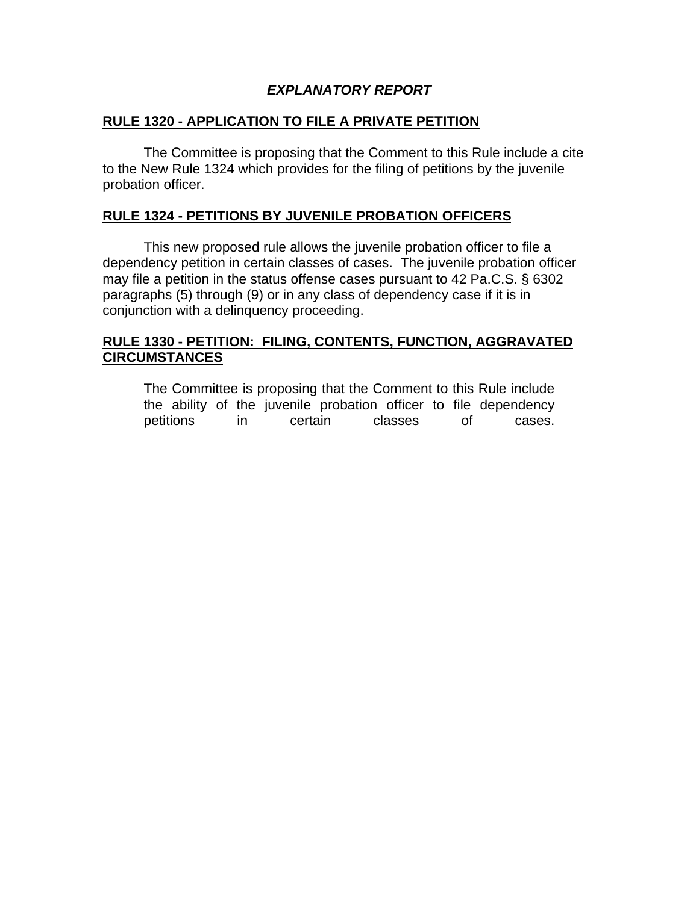# *EXPLANATORY REPORT*

# **RULE 1320 - APPLICATION TO FILE A PRIVATE PETITION**

 The Committee is proposing that the Comment to this Rule include a cite to the New Rule 1324 which provides for the filing of petitions by the juvenile probation officer.

# **RULE 1324 - PETITIONS BY JUVENILE PROBATION OFFICERS**

 This new proposed rule allows the juvenile probation officer to file a dependency petition in certain classes of cases. The juvenile probation officer may file a petition in the status offense cases pursuant to 42 Pa.C.S. § 6302 paragraphs (5) through (9) or in any class of dependency case if it is in conjunction with a delinquency proceeding.

### **RULE 1330 - PETITION: FILING, CONTENTS, FUNCTION, AGGRAVATED CIRCUMSTANCES**

 The Committee is proposing that the Comment to this Rule include the ability of the juvenile probation officer to file dependency petitions in certain classes of cases.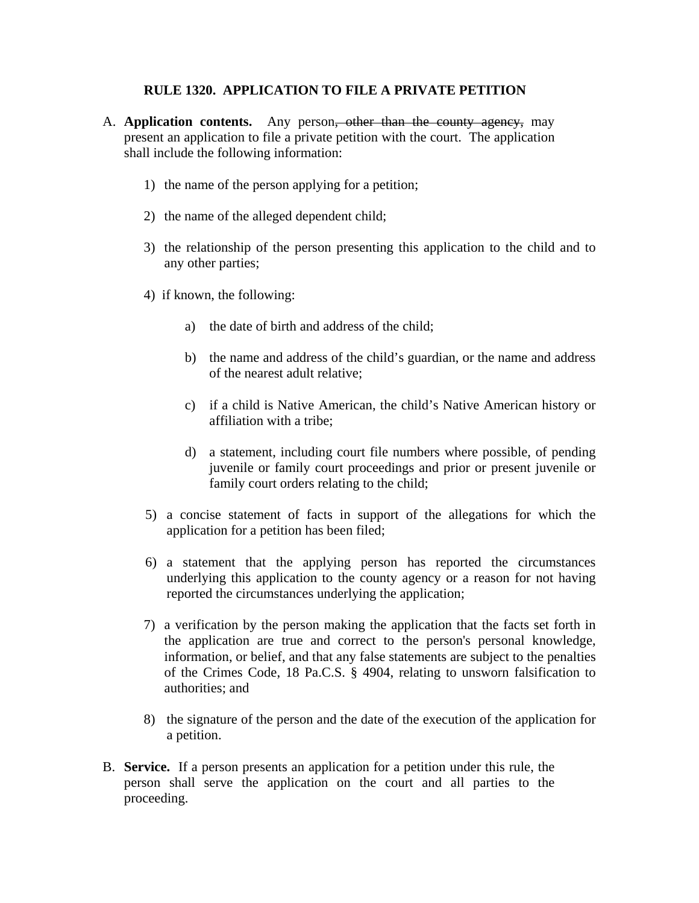#### **RULE 1320. APPLICATION TO FILE A PRIVATE PETITION**

- A. **Application contents.** Any person, other than the county agency, may present an application to file a private petition with the court. The application shall include the following information:
	- 1) the name of the person applying for a petition;
	- 2) the name of the alleged dependent child;
	- 3) the relationship of the person presenting this application to the child and to any other parties;
	- 4) if known, the following:
		- a) the date of birth and address of the child;
		- b) the name and address of the child's guardian, or the name and address of the nearest adult relative;
		- c) if a child is Native American, the child's Native American history or affiliation with a tribe;
		- d) a statement, including court file numbers where possible, of pending juvenile or family court proceedings and prior or present juvenile or family court orders relating to the child;
	- 5) a concise statement of facts in support of the allegations for which the application for a petition has been filed;
	- 6) a statement that the applying person has reported the circumstances underlying this application to the county agency or a reason for not having reported the circumstances underlying the application;
	- 7) a verification by the person making the application that the facts set forth in the application are true and correct to the person's personal knowledge, information, or belief, and that any false statements are subject to the penalties of the Crimes Code, 18 Pa.C.S. § 4904, relating to unsworn falsification to authorities; and
	- 8) the signature of the person and the date of the execution of the application for a petition.
- B. **Service.** If a person presents an application for a petition under this rule, the person shall serve the application on the court and all parties to the proceeding.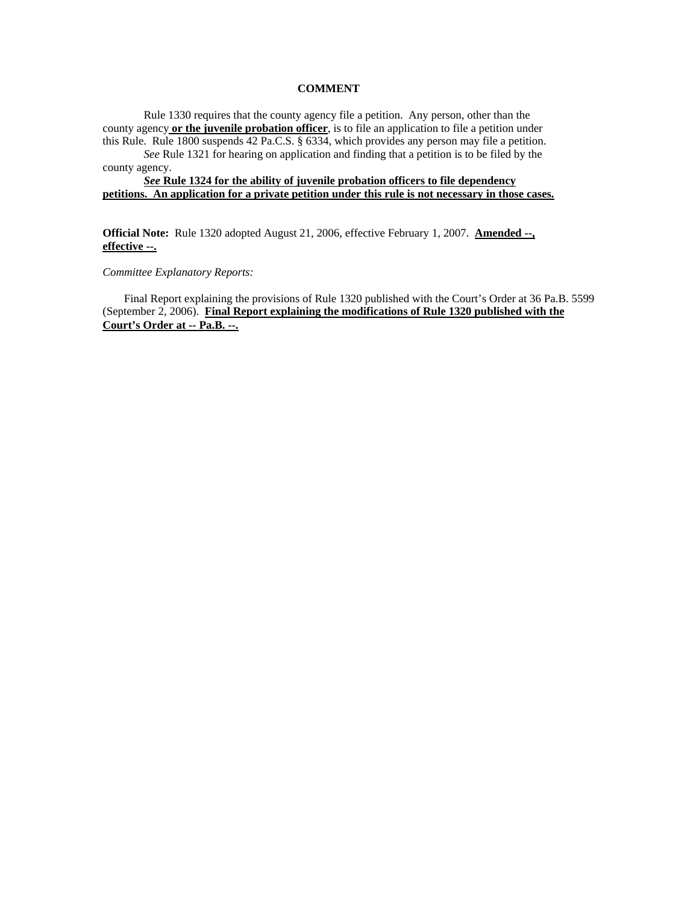#### **COMMENT**

Rule 1330 requires that the county agency file a petition. Any person, other than the county agency **or the juvenile probation officer**, is to file an application to file a petition under this Rule. Rule 1800 suspends 42 Pa.C.S. § 6334, which provides any person may file a petition. *See* Rule 1321 for hearing on application and finding that a petition is to be filed by the

county agency.

*See* **Rule 1324 for the ability of juvenile probation officers to file dependency petitions. An application for a private petition under this rule is not necessary in those cases.**

**Official Note:** Rule 1320 adopted August 21, 2006, effective February 1, 2007. **Amended --, effective --.**

*Committee Explanatory Reports:* 

Final Report explaining the provisions of Rule 1320 published with the Court's Order at 36 Pa.B. 5599 (September 2, 2006). **Final Report explaining the modifications of Rule 1320 published with the Court's Order at -- Pa.B. --.**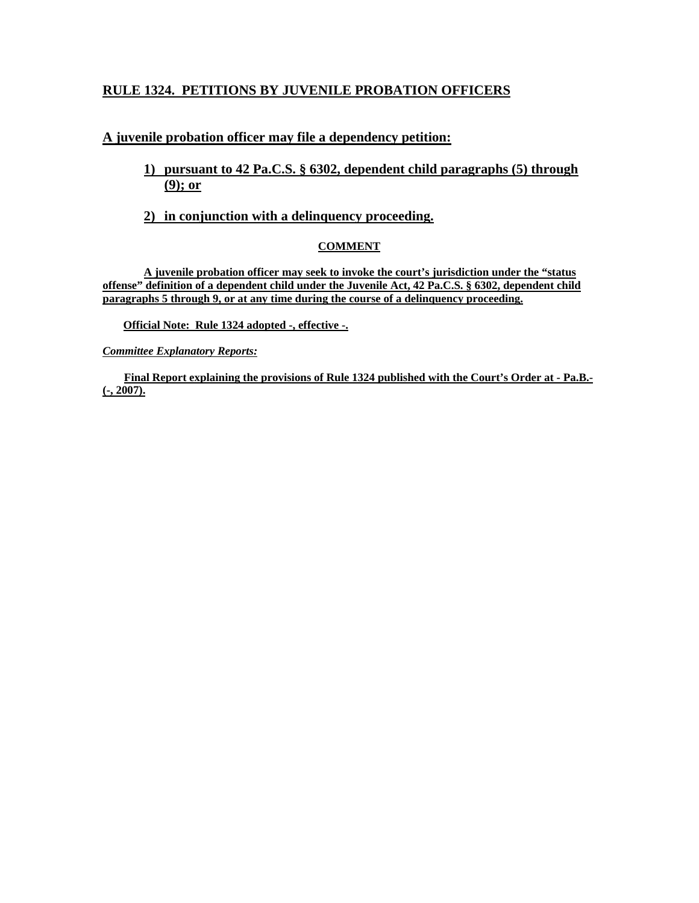# **RULE 1324. PETITIONS BY JUVENILE PROBATION OFFICERS**

#### **A juvenile probation officer may file a dependency petition:**

# **1) pursuant to 42 Pa.C.S. § 6302, dependent child paragraphs (5) through (9); or**

#### **2) in conjunction with a delinquency proceeding.**

#### **COMMENT**

**A juvenile probation officer may seek to invoke the court's jurisdiction under the "status offense" definition of a dependent child under the Juvenile Act, 42 Pa.C.S. § 6302, dependent child paragraphs 5 through 9, or at any time during the course of a delinquency proceeding.** 

**Official Note: Rule 1324 adopted -, effective -.**

*Committee Explanatory Reports:*

**Final Report explaining the provisions of Rule 1324 published with the Court's Order at - Pa.B.- (-, 2007).**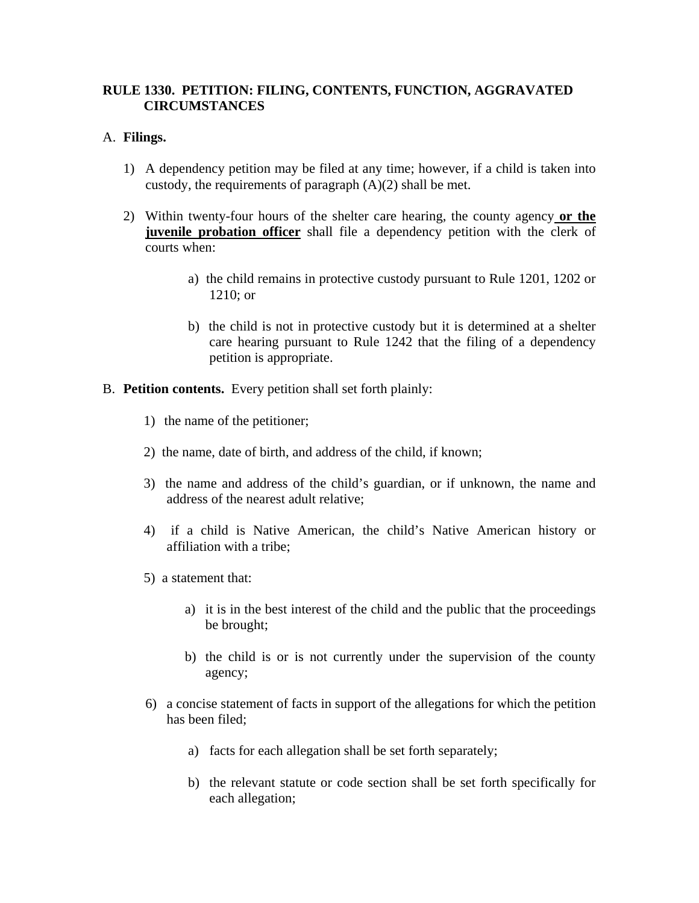#### **RULE 1330. PETITION: FILING, CONTENTS, FUNCTION, AGGRAVATED CIRCUMSTANCES**

#### A. **Filings.**

- 1) A dependency petition may be filed at any time; however, if a child is taken into custody, the requirements of paragraph (A)(2) shall be met.
- 2) Within twenty-four hours of the shelter care hearing, the county agency **or the juvenile probation officer** shall file a dependency petition with the clerk of courts when:
	- a) the child remains in protective custody pursuant to Rule 1201, 1202 or 1210; or
	- b) the child is not in protective custody but it is determined at a shelter care hearing pursuant to Rule 1242 that the filing of a dependency petition is appropriate.
- B. **Petition contents.** Every petition shall set forth plainly:
	- 1) the name of the petitioner;
	- 2) the name, date of birth, and address of the child, if known;
	- 3) the name and address of the child's guardian, or if unknown, the name and address of the nearest adult relative;
	- 4) if a child is Native American, the child's Native American history or affiliation with a tribe;
	- 5) a statement that:
		- a) it is in the best interest of the child and the public that the proceedings be brought;
		- b) the child is or is not currently under the supervision of the county agency;
	- 6) a concise statement of facts in support of the allegations for which the petition has been filed;
		- a) facts for each allegation shall be set forth separately;
		- b) the relevant statute or code section shall be set forth specifically for each allegation;